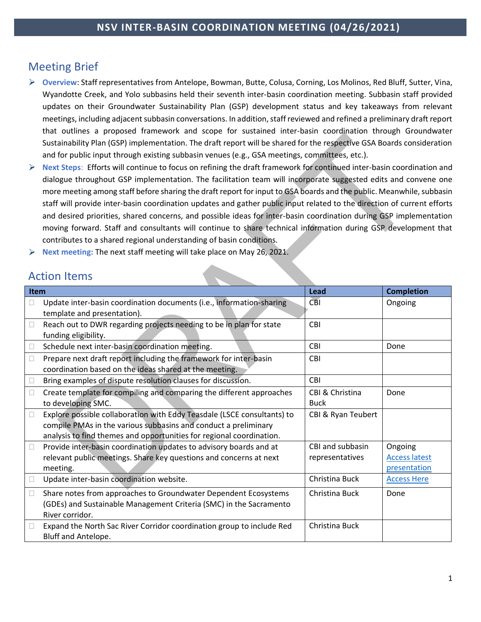# Meeting Brief

- **Overview**: Staff representatives from Antelope, Bowman, Butte, Colusa, Corning, Los Molinos, Red Bluff, Sutter, Vina, Wyandotte Creek, and Yolo subbasins held their seventh inter-basin coordination meeting. Subbasin staff provided updates on their Groundwater Sustainability Plan (GSP) development status and key takeaways from relevant meetings, including adjacent subbasin conversations. In addition, staff reviewed and refined a preliminary draft report that outlines a proposed framework and scope for sustained inter-basin coordination through Groundwater Sustainability Plan (GSP) implementation. The draft report will be shared for the respective GSA Boards consideration and for public input through existing subbasin venues (e.g., GSA meetings, committees, etc.).
- ➤ **Next Steps**: Efforts will continue to focus on refining the draft framework for continued inter-basin coordination and dialogue throughout GSP implementation. The facilitation team will incorporate suggested edits and convene one more meeting among staff before sharing the draft report for input to GSA boards and the public. Meanwhile, subbasin staff will provide inter-basin coordination updates and gather public input related to the direction of current efforts and desired priorities, shared concerns, and possible ideas for inter-basin coordination during GSP implementation moving forward. Staff and consultants will continue to share technical information during GSP development that contributes to a shared regional understanding of basin conditions.
- ➤ **Next meeting:** The next staff meeting will take place on May 26, 2021.

# Action Items

| Item              |                                                                                                                                                                                                                    | Lead                                | <b>Completion</b>                               |
|-------------------|--------------------------------------------------------------------------------------------------------------------------------------------------------------------------------------------------------------------|-------------------------------------|-------------------------------------------------|
| $\vert \ \ \vert$ | Update inter-basin coordination documents (i.e., information-sharing<br>template and presentation).                                                                                                                | <b>CBI</b>                          | Ongoing                                         |
| $\Box$            | Reach out to DWR regarding projects needing to be in plan for state<br>funding eligibility.                                                                                                                        | <b>CBI</b>                          |                                                 |
| Ш                 | Schedule next inter-basin coordination meeting.                                                                                                                                                                    | CBI                                 | Done                                            |
| $\Box$            | Prepare next draft report including the framework for inter-basin<br>coordination based on the ideas shared at the meeting.                                                                                        | <b>CBI</b>                          |                                                 |
| ш                 | Bring examples of dispute resolution clauses for discussion.                                                                                                                                                       | <b>CBI</b>                          |                                                 |
| П                 | Create template for compiling and comparing the different approaches<br>to developing SMC.                                                                                                                         | CBI & Christina<br><b>Buck</b>      | Done                                            |
| $\Box$            | Explore possible collaboration with Eddy Teasdale (LSCE consultants) to<br>compile PMAs in the various subbasins and conduct a preliminary<br>analysis to find themes and opportunities for regional coordination. | CBI & Ryan Teubert                  |                                                 |
| Ш                 | Provide inter-basin coordination updates to advisory boards and at<br>relevant public meetings. Share key questions and concerns at next<br>meeting.                                                               | CBI and subbasin<br>representatives | Ongoing<br><b>Access latest</b><br>presentation |
| $\vert \ \ \vert$ | Update inter-basin coordination website.                                                                                                                                                                           | Christina Buck                      | <b>Access Here</b>                              |
| $\Box$            | Share notes from approaches to Groundwater Dependent Ecosystems<br>(GDEs) and Sustainable Management Criteria (SMC) in the Sacramento<br>River corridor.                                                           | Christina Buck                      | Done                                            |
| $\Box$            | Expand the North Sac River Corridor coordination group to include Red<br>Bluff and Antelope.                                                                                                                       | Christina Buck                      |                                                 |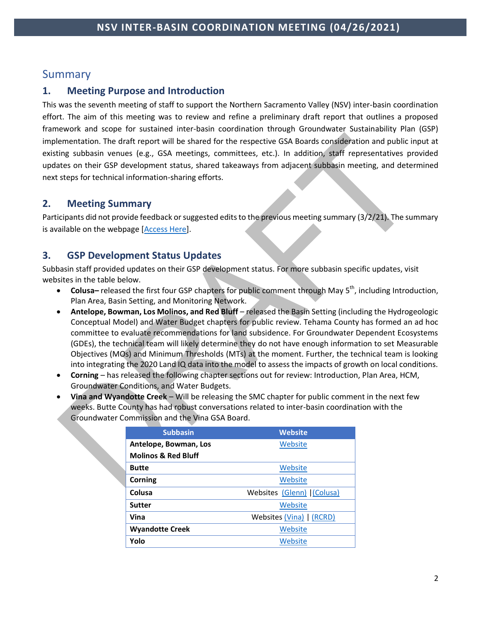# Summary

# **1. Meeting Purpose and Introduction**

This was the seventh meeting of staff to support the Northern Sacramento Valley (NSV) inter-basin coordination effort. The aim of this meeting was to review and refine a preliminary draft report that outlines a proposed framework and scope for sustained inter-basin coordination through Groundwater Sustainability Plan (GSP) implementation. The draft report will be shared for the respective GSA Boards consideration and public input at existing subbasin venues (e.g., GSA meetings, committees, etc.). In addition, staff representatives provided updates on their GSP development status, shared takeaways from adjacent subbasin meeting, and determined next steps for technical information-sharing efforts.

# **2. Meeting Summary**

Participants did not provide feedback or suggested edits to the previous meeting summary (3/2/21). The summary is available on the webpage [\[Access Here\]](https://www.buttecounty.net/waterresourceconservation/Sustainable-Groundwater-Management-Act/Inter-basin-Coordination).

# **3. GSP Development Status Updates**

Subbasin staff provided updates on their GSP development status. For more subbasin specific updates, visit websites in the table below.

- **Colusa-** released the first four GSP chapters for public comment through May 5<sup>th</sup>, including Introduction, Plan Area, Basin Setting, and Monitoring Network.
- **Antelope, Bowman, Los Molinos, and Red Bluff** released the Basin Setting (including the Hydrogeologic Conceptual Model) and Water Budget chapters for public review. Tehama County has formed an ad hoc committee to evaluate recommendations for land subsidence. For Groundwater Dependent Ecosystems (GDEs), the technical team will likely determine they do not have enough information to set Measurable Objectives (MOs) and Minimum Thresholds (MTs) at the moment. Further, the technical team is looking into integrating the 2020 Land IQ data into the model to assess the impacts of growth on local conditions.
- **Corning**  has released the following chapter sections out for review: Introduction, Plan Area, HCM, Groundwater Conditions, and Water Budgets.
- **Vina and Wyandotte Creek**  Will be releasing the SMC chapter for public comment in the next few weeks. Butte County has had robust conversations related to inter-basin coordination with the Groundwater Commission and the Vina GSA Board.

| <b>Subbasin</b>                | <b>Website</b>            |
|--------------------------------|---------------------------|
| Antelope, Bowman, Los          | Website                   |
| <b>Molinos &amp; Red Bluff</b> |                           |
| <b>Butte</b>                   | Website                   |
| Corning                        | Website                   |
| Colusa                         | Websites (Glenn) (Colusa) |
| <b>Sutter</b>                  | Website                   |
| Vina                           | Websites (Vina)   (RCRD)  |
| <b>Wyandotte Creek</b>         | Website                   |
| Yolo                           | Website                   |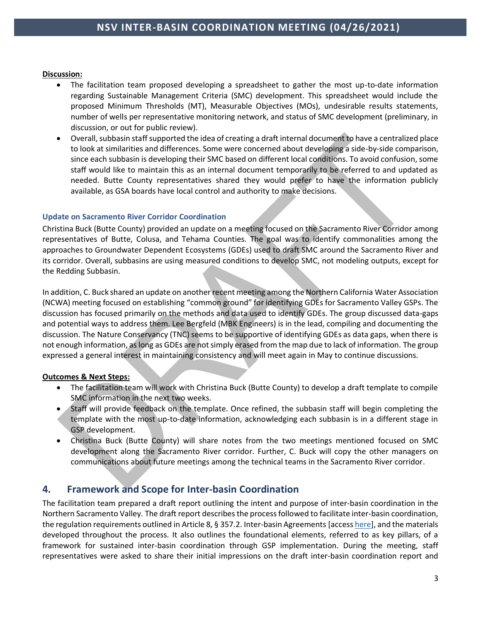### **Discussion:**

- The facilitation team proposed developing a spreadsheet to gather the most up-to-date information regarding Sustainable Management Criteria (SMC) development. This spreadsheet would include the proposed Minimum Thresholds (MT), Measurable Objectives (MOs), undesirable results statements, number of wells per representative monitoring network, and status of SMC development (preliminary, in discussion, or out for public review).
- Overall, subbasin staff supported the idea of creating a draft internal document to have a centralized place to look at similarities and differences. Some were concerned about developing a side-by-side comparison, since each subbasin is developing their SMC based on different local conditions. To avoid confusion, some staff would like to maintain this as an internal document temporarily to be referred to and updated as needed. Butte County representatives shared they would prefer to have the information publicly available, as GSA boards have local control and authority to make decisions.

### **Update on Sacramento River Corridor Coordination**

Christina Buck (Butte County) provided an update on a meeting focused on the Sacramento River Corridor among representatives of Butte, Colusa, and Tehama Counties. The goal was to identify commonalities among the approaches to Groundwater Dependent Ecosystems (GDEs) used to draft SMC around the Sacramento River and its corridor. Overall, subbasins are using measured conditions to develop SMC, not modeling outputs, except for the Redding Subbasin.

In addition, C. Buck shared an update on another recent meeting among the Northern California Water Association (NCWA) meeting focused on establishing "common ground" for identifying GDEs for Sacramento Valley GSPs. The discussion has focused primarily on the methods and data used to identify GDEs. The group discussed data-gaps and potential ways to address them. Lee Bergfeld (MBK Engineers) is in the lead, compiling and documenting the discussion. The Nature Conservancy (TNC) seems to be supportive of identifying GDEs as data gaps, when there is not enough information, as long as GDEs are not simply erased from the map due to lack of information. The group expressed a general interest in maintaining consistency and will meet again in May to continue discussions.

### **Outcomes & Next Steps:**

- The facilitation team will work with Christina Buck (Butte County) to develop a draft template to compile SMC information in the next two weeks.
- Staff will provide feedback on the template. Once refined, the subbasin staff will begin completing the template with the most up-to-date information, acknowledging each subbasin is in a different stage in GSP development.
- Christina Buck (Butte County) will share notes from the two meetings mentioned focused on SMC development along the Sacramento River corridor. Further, C. Buck will copy the other managers on communications about future meetings among the technical teams in the Sacramento River corridor.

# **4. Framework and Scope for Inter-basin Coordination**

The facilitation team prepared a draft report outlining the intent and purpose of inter-basin coordination in the Northern Sacramento Valley. The draft report describes the process followed to facilitate inter-basin coordination, the regulation requirements outlined in Article 8, § 357.2. Inter-basin Agreements [acces[s here\]](https://groundwaterexchange.org/wp-content/uploads/2018/07/GSP-Regs-Art-8-Interagency-Agreements.pdf), and the materials developed throughout the process. It also outlines the foundational elements, referred to as key pillars, of a framework for sustained inter-basin coordination through GSP implementation. During the meeting, staff representatives were asked to share their initial impressions on the draft inter-basin coordination report and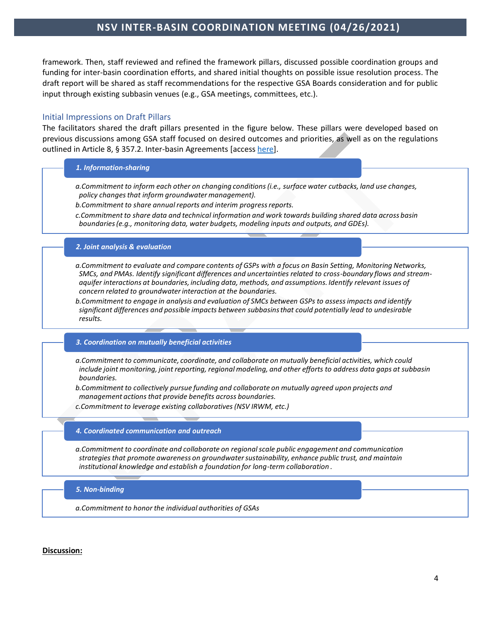# **NSV INTER-BASIN COORDINATION MEETING (04/26/2021)**

framework. Then, staff reviewed and refined the framework pillars, discussed possible coordination groups and funding for inter-basin coordination efforts, and shared initial thoughts on possible issue resolution process. The draft report will be shared as staff recommendations for the respective GSA Boards consideration and for public input through existing subbasin venues (e.g., GSA meetings, committees, etc.).

### Initial Impressions on Draft Pillars

The facilitators shared the draft pillars presented in the figure below. These pillars were developed based on previous discussions among GSA staff focused on desired outcomes and priorities, as well as on the regulations outlined in Article 8, § 357.2. Inter-basin Agreements [acces[s here\]](https://groundwaterexchange.org/wp-content/uploads/2018/07/GSP-Regs-Art-8-Interagency-Agreements.pdf).

#### *1. Information-sharing*

*a.Commitment to inform each other on changing conditions (i.e., surface water cutbacks, land use changes, policy changes that inform groundwater management).*

*b.Commitment to share annual reports and interim progress reports.*

*c.Commitment to share data and technical information and work towards building shared data across basin boundaries (e.g., monitoring data, water budgets, modeling inputs and outputs, and GDEs).*

#### *2. Joint analysis & evaluation*

*a.Commitment to evaluate and compare contents of GSPs with a focus on Basin Setting, Monitoring Networks, SMCs, and PMAs. Identify significant differences and uncertainties related to cross-boundary flows and streamaquifer interactions at boundaries, including data, methods, and assumptions. Identify relevant issues of concern related to groundwater interaction at the boundaries.*

*b.Commitment to engage in analysis and evaluation of SMCs between GSPs to assess impacts and identify significant differences and possible impacts between subbasins that could potentially lead to undesirable results.* 

#### *3. Coordination on mutually beneficial activities*

*a.Commitment to communicate, coordinate, and collaborate on mutually beneficial activities, which could include joint monitoring, joint reporting, regional modeling, and other efforts to address data gaps at subbasin boundaries.*

*b.Commitment to collectively pursue funding and collaborate on mutually agreed upon projects and management actions that provide benefits across boundaries.* 

*c.Commitment to leverage existing collaboratives (NSV IRWM, etc.)* 

#### *4. Coordinated communication and outreach*

*a.Commitment to coordinate and collaborate on regional scale public engagement and communication strategies that promote awareness on groundwater sustainability, enhance public trust, and maintain institutional knowledge and establish a foundation for long-term collaboration .*

#### *5. Non-binding*

*a.Commitment to honor the individual authorities of GSAs*

#### **Discussion:**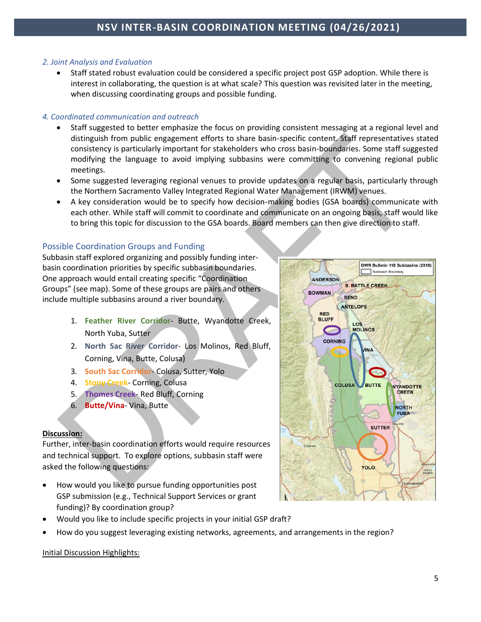### *2. Joint Analysis and Evaluation*

• Staff stated robust evaluation could be considered a specific project post GSP adoption. While there is interest in collaborating, the question is at what scale? This question was revisited later in the meeting, when discussing coordinating groups and possible funding.

### *4. Coordinated communication and outreach*

- Staff suggested to better emphasize the focus on providing consistent messaging at a regional level and distinguish from public engagement efforts to share basin-specific content. Staff representatives stated consistency is particularly important for stakeholders who cross basin-boundaries. Some staff suggested modifying the language to avoid implying subbasins were committing to convening regional public meetings.
- Some suggested leveraging regional venues to provide updates on a regular basis, particularly through the Northern Sacramento Valley Integrated Regional Water Management (IRWM) venues.
- A key consideration would be to specify how decision-making bodies (GSA boards) communicate with each other. While staff will commit to coordinate and communicate on an ongoing basis, staff would like to bring this topic for discussion to the GSA boards. Board members can then give direction to staff.

# Possible Coordination Groups and Funding

Subbasin staff explored organizing and possibly funding interbasin coordination priorities by specific subbasin boundaries. One approach would entail creating specific "Coordination Groups" (see map). Some of these groups are pairs and others include multiple subbasins around a river boundary.

- 1. **Feather River Corridor** Butte, Wyandotte Creek, North Yuba, Sutter
- 2. **North Sac River Corridor** Los Molinos, Red Bluff, Corning, Vina, Butte, Colusa)
- 3. **South Sac Corridor** Colusa, Sutter, Yolo
- 4. **Stony Creek** Corning, Colusa
- 5. **Thomes Creek** Red Bluff, Corning
- 6. **Butte/Vina** Vina, Butte

## **Discussion:**

Further, inter-basin coordination efforts would require resources and technical support. To explore options, subbasin staff were asked the following questions:

- How would you like to pursue funding opportunities post GSP submission (e.g., Technical Support Services or grant funding)? By coordination group?
- Would you like to include specific projects in your initial GSP draft?
- How do you suggest leveraging existing networks, agreements, and arrangements in the region?

### Initial Discussion Highlights:

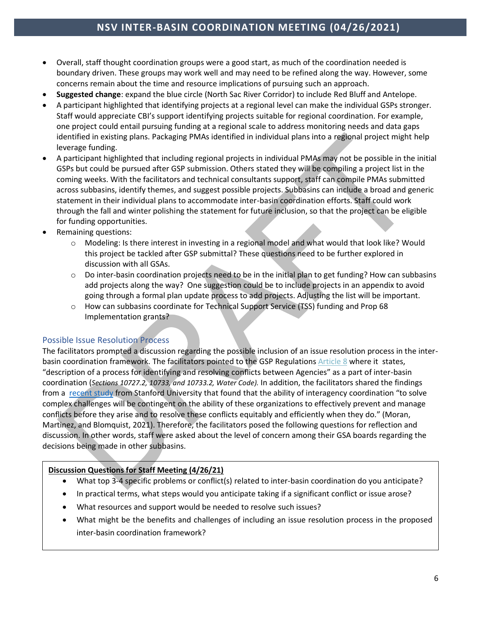# **NSV INTER-BASIN COORDINATION MEETING (04/26/2021)**

- Overall, staff thought coordination groups were a good start, as much of the coordination needed is boundary driven. These groups may work well and may need to be refined along the way. However, some concerns remain about the time and resource implications of pursuing such an approach.
- **Suggested change**: expand the blue circle (North Sac River Corridor) to include Red Bluff and Antelope.
- A participant highlighted that identifying projects at a regional level can make the individual GSPs stronger. Staff would appreciate CBI's support identifying projects suitable for regional coordination. For example, one project could entail pursuing funding at a regional scale to address monitoring needs and data gaps identified in existing plans. Packaging PMAs identified in individual plans into a regional project might help leverage funding.
- A participant highlighted that including regional projects in individual PMAs may not be possible in the initial GSPs but could be pursued after GSP submission. Others stated they will be compiling a project list in the coming weeks. With the facilitators and technical consultants support, staff can compile PMAs submitted across subbasins, identify themes, and suggest possible projects. Subbasins can include a broad and generic statement in their individual plans to accommodate inter-basin coordination efforts. Staff could work through the fall and winter polishing the statement for future inclusion, so that the project can be eligible for funding opportunities.
- Remaining questions:
	- o Modeling: Is there interest in investing in a regional model and what would that look like? Would this project be tackled after GSP submittal? These questions need to be further explored in discussion with all GSAs.
	- $\circ$  Do inter-basin coordination projects need to be in the initial plan to get funding? How can subbasins add projects along the way? One suggestion could be to include projects in an appendix to avoid going through a formal plan update process to add projects. Adjusting the list will be important.
	- o How can subbasins coordinate for Technical Support Service (TSS) funding and Prop 68 Implementation grants?

### Possible Issue Resolution Process

The facilitators prompted a discussion regarding the possible inclusion of an issue resolution process in the inter-basin coordination framework. The facilitators pointed to the GSP Regulations [Article](http://www.buttecounty.net/wrcdocs/planning/SGWMA/InterbasinCoordination/GSP_Regs_Art_8_Agreements.pdf) 8 where it states, "description of a process for identifying and resolving conflicts between Agencies" as a part of inter-basin coordination (*Sections 10727.2, 10733, and 10733.2, Water Code).* In addition, the facilitators shared the findings from a [recent study](https://waterinthewest.stanford.edu/publications/dispute-resolution-processes-thinking-through-sgma-implementation) from Stanford University that found that the ability of interagency coordination "to solve complex challenges will be contingent on the ability of these organizations to effectively prevent and manage conflicts before they arise and to resolve these conflicts equitably and efficiently when they do." (Moran, Martinez, and Blomquist, 2021). Therefore, the facilitators posed the following questions for reflection and discussion. In other words, staff were asked about the level of concern among their GSA boards regarding the decisions being made in other subbasins.

### **Discussion Questions for Staff Meeting (4/26/21)**

- What top 3-4 specific problems or conflict(s) related to inter-basin coordination do you anticipate?
- In practical terms, what steps would you anticipate taking if a significant conflict or issue arose?
- What resources and support would be needed to resolve such issues?
- What might be the benefits and challenges of including an issue resolution process in the proposed inter-basin coordination framework?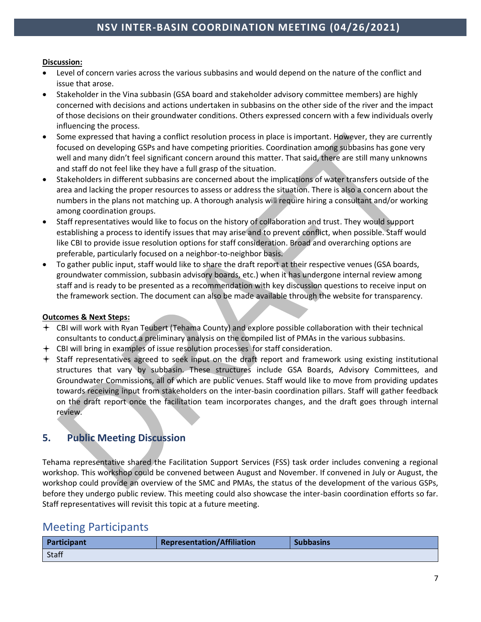### **Discussion:**

- Level of concern varies across the various subbasins and would depend on the nature of the conflict and issue that arose.
- Stakeholder in the Vina subbasin (GSA board and stakeholder advisory committee members) are highly concerned with decisions and actions undertaken in subbasins on the other side of the river and the impact of those decisions on their groundwater conditions. Others expressed concern with a few individuals overly influencing the process.
- Some expressed that having a conflict resolution process in place is important. However, they are currently focused on developing GSPs and have competing priorities. Coordination among subbasins has gone very well and many didn't feel significant concern around this matter. That said, there are still many unknowns and staff do not feel like they have a full grasp of the situation.
- Stakeholders in different subbasins are concerned about the implications of water transfers outside of the area and lacking the proper resources to assess or address the situation. There is also a concern about the numbers in the plans not matching up. A thorough analysis will require hiring a consultant and/or working among coordination groups.
- Staff representatives would like to focus on the history of collaboration and trust. They would support establishing a process to identify issues that may arise and to prevent conflict, when possible. Staff would like CBI to provide issue resolution options for staff consideration. Broad and overarching options are preferable, particularly focused on a neighbor-to-neighbor basis.
- To gather public input, staff would like to share the draft report at their respective venues (GSA boards, groundwater commission, subbasin advisory boards, etc.) when it has undergone internal review among staff and is ready to be presented as a recommendation with key discussion questions to receive input on the framework section. The document can also be made available through the website for transparency.

### **Outcomes & Next Steps:**

- CBI will work with Ryan Teubert (Tehama County) and explore possible collaboration with their technical consultants to conduct a preliminary analysis on the compiled list of PMAs in the various subbasins.
- CBI will bring in examples of issue resolution processes for staff consideration.
- Staff representatives agreed to seek input on the draft report and framework using existing institutional structures that vary by subbasin. These structures include GSA Boards, Advisory Committees, and Groundwater Commissions, all of which are public venues. Staff would like to move from providing updates towards receiving input from stakeholders on the inter-basin coordination pillars. Staff will gather feedback on the draft report once the facilitation team incorporates changes, and the draft goes through internal review.

# **5. Public Meeting Discussion**

Tehama representative shared the Facilitation Support Services (FSS) task order includes convening a regional workshop. This workshop could be convened between August and November. If convened in July or August, the workshop could provide an overview of the SMC and PMAs, the status of the development of the various GSPs, before they undergo public review. This meeting could also showcase the inter-basin coordination efforts so far. Staff representatives will revisit this topic at a future meeting.

# Meeting Participants

| Participant  | <b>Representation/Affiliation</b> | <b>Subbasins</b> |
|--------------|-----------------------------------|------------------|
| <b>Staff</b> |                                   |                  |